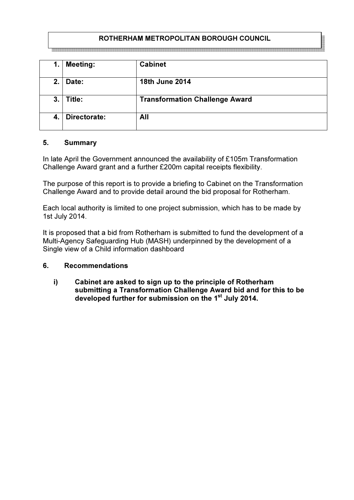## ROTHERHAM METROPOLITAN BOROUGH COUNCIL

| 1. | <b>Meeting:</b> | <b>Cabinet</b>                        |
|----|-----------------|---------------------------------------|
| 2. | Date:           | 18th June 2014                        |
| 3. | Title:          | <b>Transformation Challenge Award</b> |
| 4. | Directorate:    | All                                   |

#### 5. Summary

In late April the Government announced the availability of £105m Transformation Challenge Award grant and a further £200m capital receipts flexibility.

The purpose of this report is to provide a briefing to Cabinet on the Transformation Challenge Award and to provide detail around the bid proposal for Rotherham.

Each local authority is limited to one project submission, which has to be made by 1st July 2014.

It is proposed that a bid from Rotherham is submitted to fund the development of a Multi-Agency Safeguarding Hub (MASH) underpinned by the development of a Single view of a Child information dashboard

#### 6. Recommendations

i) Cabinet are asked to sign up to the principle of Rotherham submitting a Transformation Challenge Award bid and for this to be developed further for submission on the 1<sup>st</sup> July 2014.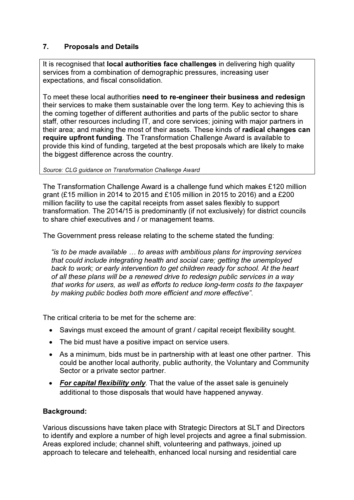# 7. Proposals and Details

It is recognised that **local authorities face challenges** in delivering high quality services from a combination of demographic pressures, increasing user expectations, and fiscal consolidation.

To meet these local authorities need to re-engineer their business and redesign their services to make them sustainable over the long term. Key to achieving this is the coming together of different authorities and parts of the public sector to share staff, other resources including IT, and core services; joining with major partners in their area; and making the most of their assets. These kinds of radical changes can require upfront funding. The Transformation Challenge Award is available to provide this kind of funding, targeted at the best proposals which are likely to make the biggest difference across the country.

Source: CLG guidance on Transformation Challenge Award

The Transformation Challenge Award is a challenge fund which makes £120 million grant (£15 million in 2014 to 2015 and £105 million in 2015 to 2016) and a £200 million facility to use the capital receipts from asset sales flexibly to support transformation. The 2014/15 is predominantly (if not exclusively) for district councils to share chief executives and / or management teams.

The Government press release relating to the scheme stated the funding:

"is to be made available … to areas with ambitious plans for improving services that could include integrating health and social care; getting the unemployed back to work; or early intervention to get children ready for school. At the heart of all these plans will be a renewed drive to redesign public services in a way that works for users, as well as efforts to reduce long-term costs to the taxpayer by making public bodies both more efficient and more effective".

The critical criteria to be met for the scheme are:

- Savings must exceed the amount of grant / capital receipt flexibility sought.
- The bid must have a positive impact on service users.
- As a minimum, bids must be in partnership with at least one other partner. This could be another local authority, public authority, the Voluntary and Community Sector or a private sector partner.
- For capital flexibility only. That the value of the asset sale is genuinely additional to those disposals that would have happened anyway.

## Background:

Various discussions have taken place with Strategic Directors at SLT and Directors to identify and explore a number of high level projects and agree a final submission. Areas explored include; channel shift, volunteering and pathways, joined up approach to telecare and telehealth, enhanced local nursing and residential care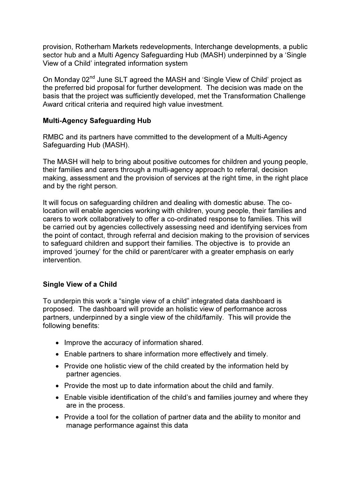provision, Rotherham Markets redevelopments, Interchange developments, a public sector hub and a Multi Agency Safeguarding Hub (MASH) underpinned by a 'Single View of a Child' integrated information system

On Monday 02<sup>nd</sup> June SLT agreed the MASH and 'Single View of Child' project as the preferred bid proposal for further development. The decision was made on the basis that the project was sufficiently developed, met the Transformation Challenge Award critical criteria and required high value investment.

## Multi-Agency Safeguarding Hub

RMBC and its partners have committed to the development of a Multi-Agency Safeguarding Hub (MASH).

The MASH will help to bring about positive outcomes for children and young people, their families and carers through a multi-agency approach to referral, decision making, assessment and the provision of services at the right time, in the right place and by the right person.

It will focus on safeguarding children and dealing with domestic abuse. The colocation will enable agencies working with children, young people, their families and carers to work collaboratively to offer a co-ordinated response to families. This will be carried out by agencies collectively assessing need and identifying services from the point of contact, through referral and decision making to the provision of services to safeguard children and support their families. The objective is to provide an improved 'journey' for the child or parent/carer with a greater emphasis on early intervention.

#### Single View of a Child

To underpin this work a "single view of a child" integrated data dashboard is proposed. The dashboard will provide an holistic view of performance across partners, underpinned by a single view of the child/family. This will provide the following benefits:

- Improve the accuracy of information shared.
- Enable partners to share information more effectively and timely.
- Provide one holistic view of the child created by the information held by partner agencies.
- Provide the most up to date information about the child and family.
- Enable visible identification of the child's and families journey and where they are in the process.
- Provide a tool for the collation of partner data and the ability to monitor and manage performance against this data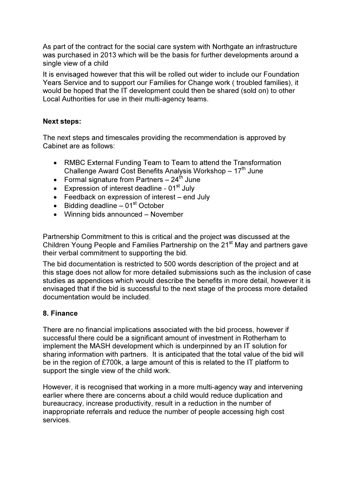As part of the contract for the social care system with Northgate an infrastructure was purchased in 2013 which will be the basis for further developments around a single view of a child

It is envisaged however that this will be rolled out wider to include our Foundation Years Service and to support our Families for Change work ( troubled families), it would be hoped that the IT development could then be shared (sold on) to other Local Authorities for use in their multi-agency teams.

#### Next steps:

The next steps and timescales providing the recommendation is approved by Cabinet are as follows:

- RMBC External Funding Team to Team to attend the Transformation Challenge Award Cost Benefits Analysis Workshop  $-17<sup>th</sup>$  June
- Formal signature from Partners  $-24^{\text{th}}$  June
- Expression of interest deadline  $01<sup>st</sup>$  July
- Feedback on expression of interest end July
- Bidding deadline  $-01<sup>st</sup>$  October
- Winning bids announced November

Partnership Commitment to this is critical and the project was discussed at the Children Young People and Families Partnership on the 21<sup>st</sup> May and partners gave their verbal commitment to supporting the bid.

The bid documentation is restricted to 500 words description of the project and at this stage does not allow for more detailed submissions such as the inclusion of case studies as appendices which would describe the benefits in more detail, however it is envisaged that if the bid is successful to the next stage of the process more detailed documentation would be included.

#### 8. Finance

There are no financial implications associated with the bid process, however if successful there could be a significant amount of investment in Rotherham to implement the MASH development which is underpinned by an IT solution for sharing information with partners. It is anticipated that the total value of the bid will be in the region of £700k, a large amount of this is related to the IT platform to support the single view of the child work.

However, it is recognised that working in a more multi-agency way and intervening earlier where there are concerns about a child would reduce duplication and bureaucracy, increase productivity, result in a reduction in the number of inappropriate referrals and reduce the number of people accessing high cost services.